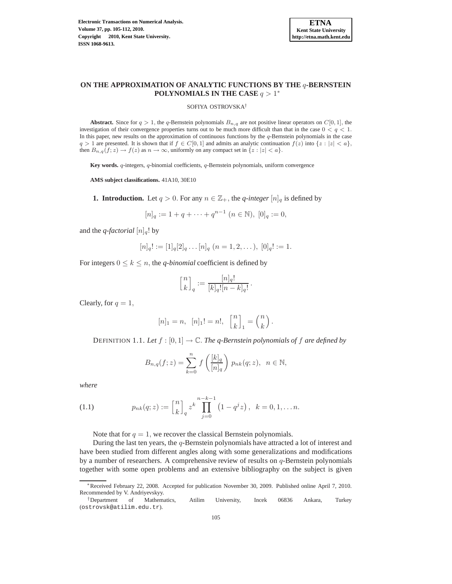

# **ON THE APPROXIMATION OF ANALYTIC FUNCTIONS BY THE** q**-BERNSTEIN POLYNOMIALS IN THE CASE**  $q > 1^*$

#### SOFIYA OSTROVSKA†

**Abstract.** Since for  $q > 1$ , the q-Bernstein polynomials  $B_{n,q}$  are not positive linear operators on  $C[0, 1]$ , the investigation of their convergence properties turns out to be much more difficult than that in the case  $0 < q < 1$ . In this paper, new results on the approximation of continuous functions by the  $q$ -Bernstein polynomials in the case  $q > 1$  are presented. It is shown that if  $f \in C[0, 1]$  and admits an analytic continuation  $f(z)$  into  $\{z : |z| < a\}$ , then  $B_{n,q}(f; z) \to f(z)$  as  $n \to \infty$ , uniformly on any compact set in  $\{z : |z| < a\}.$ 

**Key words.** q-integers, q-binomial coefficients, q-Bernstein polynomials, uniform convergence

**AMS subject classifications.** 41A10, 30E10

**1. Introduction.** Let  $q > 0$ . For any  $n \in \mathbb{Z}_+$ , the *q-integer*  $[n]_q$  is defined by

$$
[n]_q := 1 + q + \dots + q^{n-1} \ (n \in \mathbb{N}), \ [0]_q := 0,
$$

and the *q*-factorial  $[n]_q!$  by

$$
[n]_q! := [1]_q[2]_q \dots [n]_q \ (n = 1, 2, \dots), \ [0]_q! := 1.
$$

For integers  $0 \le k \le n$ , the *q-binomial* coefficient is defined by

$$
\begin{bmatrix} n \\ k \end{bmatrix}_q := \frac{[n]_q!}{[k]_q! [n-k]_q!}.
$$

Clearly, for  $q = 1$ ,

$$
[n]_1 = n, [n]_1! = n!, \begin{bmatrix} n \\ k \end{bmatrix}_1 = \begin{pmatrix} n \\ k \end{pmatrix}.
$$

DEFINITION 1.1. Let  $f : [0,1] \to \mathbb{C}$ . The q-Bernstein polynomials of f are defined by

$$
B_{n,q}(f;z) = \sum_{k=0}^{n} f\left(\frac{[k]_q}{[n]_q}\right) p_{nk}(q;z), \ \ n \in \mathbb{N},
$$

*where*

(1.1) 
$$
p_{nk}(q;z) := \begin{bmatrix} n \\ k \end{bmatrix}_q z^k \prod_{j=0}^{n-k-1} (1 - q^j z), \quad k = 0, 1, \dots n.
$$

Note that for  $q = 1$ , we recover the classical Bernstein polynomials.

During the last ten years, the q-Bernstein polynomials have attracted a lot of interest and have been studied from different angles along with some generalizations and modifications by a number of researchers. A comprehensive review of results on  $q$ -Bernstein polynomials together with some open problems and an extensive bibliography on the subject is given

<sup>∗</sup>Received February 22, 2008. Accepted for publication November 30, 2009. Published online April 7, 2010. Recommended by V. Andriyevskyy.

<sup>†</sup>Department of Mathematics, Atilim University, Incek 06836 Ankara, Turkey (ostrovsk@atilim.edu.tr).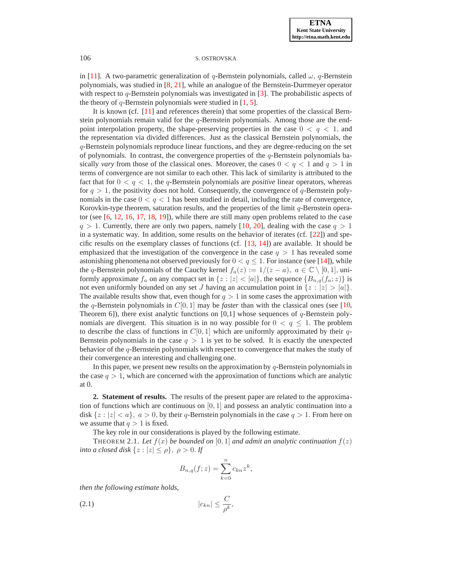## 106 S. OSTROVSKA

in [\[11\]](#page-6-0). A two-parametric generalization of q-Bernstein polynomials, called  $\omega$ , q-Bernstein polynomials, was studied in [\[8,](#page-6-1) [21\]](#page-7-0), while an analogue of the Bernstein-Durrmeyer operator with respect to  $q$ -Bernstein polynomials was investigated in [\[3\]](#page-6-2). The probabilistic aspects of the theory of q-Bernstein polynomials were studied in  $[1, 5]$  $[1, 5]$  $[1, 5]$ .

It is known (cf. [\[11\]](#page-6-0) and references therein) that some properties of the classical Bernstein polynomials remain valid for the q-Bernstein polynomials. Among those are the endpoint interpolation property, the shape-preserving properties in the case  $0 < q < 1$ , and the representation via divided differences. Just as the classical Bernstein polynomials, the q-Bernstein polynomials reproduce linear functions, and they are degree-reducing on the set of polynomials. In contrast, the convergence properties of the  $q$ -Bernstein polynomials basically *vary* from those of the classical ones. Moreover, the cases  $0 < q < 1$  and  $q > 1$  in terms of convergence are not similar to each other. This lack of similarity is attributed to the fact that for  $0 < q < 1$ , the q-Bernstein polynomials are *positive* linear operators, whereas for  $q > 1$ , the positivity does not hold. Consequently, the convergence of q-Bernstein polynomials in the case  $0 < q < 1$  has been studied in detail, including the rate of convergence, Korovkin-type theorem, saturation results, and the properties of the limit q-Bernstein operator (see [\[6,](#page-6-5) [12,](#page-6-6) [16,](#page-7-1) [17,](#page-7-2) [18,](#page-7-3) [19\]](#page-7-4)), while there are still many open problems related to the case  $q > 1$ . Currently, there are only two papers, namely [\[10,](#page-6-7) [20\]](#page-7-5), dealing with the case  $q > 1$ in a systematic way. In addition, some results on the behavior of iterates (cf. [\[22\]](#page-7-6)) and specific results on the exemplary classes of functions (cf. [\[13,](#page-6-8) [14\]](#page-6-9)) are available. It should be emphasized that the investigation of the convergence in the case  $q > 1$  has revealed some astonishing phenomena not observed previously for  $0 < q \le 1$ . For instance (see [\[14\]](#page-6-9)), while the q-Bernstein polynomials of the Cauchy kernel  $f_a(z) := 1/(z - a)$ ,  $a \in \mathbb{C} \setminus [0, 1]$ , uniformly approximate  $f_a$  on any compact set in  $\{z : |z| < |a|\}$ , the sequence  $\{B_{n,q}(f_a; z)\}$  is not even uniformly bounded on any set J having an accumulation point in  $\{z : |z| > |a|\}.$ The available results show that, even though for  $q > 1$  in some cases the approximation with the q-Bernstein polynomials in  $C[0, 1]$  may be *faster* than with the classical ones (see [\[10,](#page-6-7) Theorem 6]), there exist analytic functions on  $[0,1]$  whose sequences of q-Bernstein polynomials are divergent. This situation is in no way possible for  $0 < q < 1$ . The problem to describe the class of functions in  $C[0, 1]$  which are uniformly approximated by their  $q$ -Bernstein polynomials in the case  $q > 1$  is yet to be solved. It is exactly the unexpected behavior of the q-Bernstein polynomials with respect to convergence that makes the study of their convergence an interesting and challenging one.

In this paper, we present new results on the approximation by  $q$ -Bernstein polynomials in the case  $q > 1$ , which are concerned with the approximation of functions which are analytic at 0.

**2. Statement of results.** The results of the present paper are related to the approximation of functions which are continuous on  $[0, 1]$  and possess an analytic continuation into a disk  $\{z : |z| < a\}$ ,  $a > 0$ , by their q-Bernstein polynomials in the case  $q > 1$ . From here on we assume that  $q > 1$  is fixed.

The key role in our considerations is played by the following estimate.

<span id="page-1-1"></span>THEOREM 2.1. Let  $f(x)$  be bounded on [0, 1] and admit an analytic continuation  $f(z)$ *into a closed disk*  $\{z : |z| \le \rho\}$ ,  $\rho > 0$ . *If* 

$$
B_{n,q}(f;z) = \sum_{k=0}^{n} c_{kn} z^k,
$$

<span id="page-1-0"></span>*then the following estimate holds,*

(2.1)  $|c_{kn}| \leq \frac{C}{\rho^k},$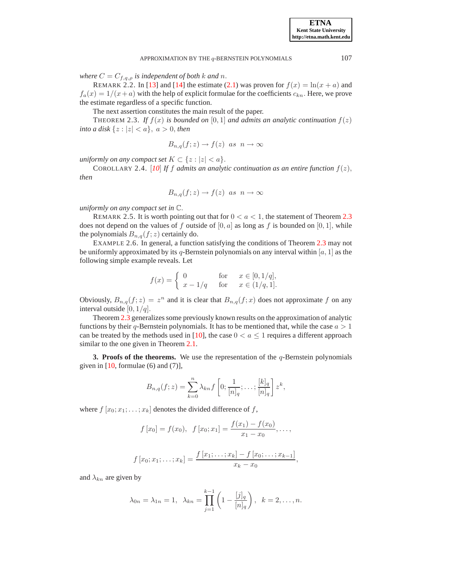*where*  $C = C_{f,q,\rho}$  *is independent of both k and n.* 

REMARK 2.2. In [\[13\]](#page-6-8) and [\[14\]](#page-6-9) the estimate [\(2.1\)](#page-1-0) was proven for  $f(x) = \ln(x + a)$  and  $f_a(x) = 1/(x+a)$  with the help of explicit formulae for the coefficients  $c_{kn}$ . Here, we prove the estimate regardless of a specific function.

The next assertion constitutes the main result of the paper.

<span id="page-2-0"></span>THEOREM 2.3. If  $f(x)$  is bounded on [0, 1] and admits an analytic continuation  $f(z)$ *into a disk*  $\{z : |z| < a\}$ ,  $a > 0$ , *then* 

$$
B_{n,q}(f;z) \to f(z) \text{ as } n \to \infty
$$

*uniformly on any compact set*  $K \subset \{z : |z| < a\}.$ 

COROLLARY 2.4. [[10](#page-6-7)] If f admits an analytic continuation as an entire function  $f(z)$ , *then*

$$
B_{n,q}(f;z) \to f(z) \text{ as } n \to \infty
$$

*uniformly on any compact set in* C.

REMARK 2.5. It is worth pointing out that for  $0 < a < 1$ , the statement of Theorem [2.3](#page-2-0) does not depend on the values of f outside of  $[0, a]$  as long as f is bounded on  $[0, 1]$ , while the polynomials  $B_{n,q}(f; z)$  certainly do.

EXAMPLE 2.6. In general, a function satisfying the conditions of Theorem [2.3](#page-2-0) may not be uniformly approximated by its q-Bernstein polynomials on any interval within [a, 1] as the following simple example reveals. Let

$$
f(x) = \begin{cases} 0 & \text{for } x \in [0, 1/q], \\ x - 1/q & \text{for } x \in (1/q, 1]. \end{cases}
$$

Obviously,  $B_{n,q}(f; z) = z^n$  and it is clear that  $B_{n,q}(f; x)$  does not approximate f on any interval outside  $[0, 1/q]$ .

Theorem [2.3](#page-2-0) generalizes some previously known results on the approximation of analytic functions by their q-Bernstein polynomials. It has to be mentioned that, while the case  $a > 1$ can be treated by the methods used in [\[10\]](#page-6-7), the case  $0 < a \leq 1$  requires a different approach similar to the one given in Theorem [2.1.](#page-1-1)

**3. Proofs of the theorems.** We use the representation of the  $q$ -Bernstein polynomials given in  $[10,$  formulae  $(6)$  and  $(7)$ ],

$$
B_{n,q}(f;z) = \sum_{k=0}^{n} \lambda_{kn} f\left[0; \frac{1}{[n]_q}; \ldots; \frac{[k]_q}{[n]_q}\right] z^k,
$$

where  $f[x_0; x_1; \ldots; x_k]$  denotes the divided difference of f,

$$
f[x_0] = f(x_0), \quad f[x_0; x_1] = \frac{f(x_1) - f(x_0)}{x_1 - x_0}, \dots,
$$

$$
f[x_0; x_1; \ldots; x_k] = \frac{f[x_1; \ldots; x_k] - f[x_0; \ldots; x_{k-1}]}{x_k - x_0},
$$

and  $\lambda_{kn}$  are given by

$$
\lambda_{0n} = \lambda_{1n} = 1, \ \lambda_{kn} = \prod_{j=1}^{k-1} \left( 1 - \frac{[j]_q}{[n]_q} \right), \ k = 2, \dots, n.
$$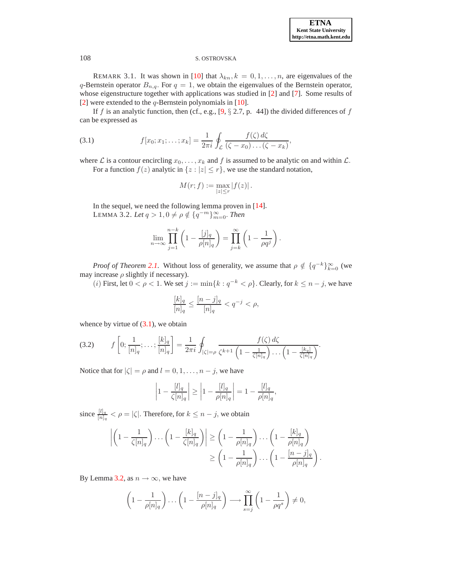### 108 S. OSTROVSKA

REMARK 3.1. It was shown in [\[10\]](#page-6-7) that  $\lambda_{kn}$ ,  $k = 0, 1, \ldots, n$ , are eigenvalues of the q-Bernstein operator  $B_{n,q}$ . For  $q = 1$ , we obtain the eigenvalues of the Bernstein operator, whose eigenstructure together with applications was studied in [\[2\]](#page-6-10) and [\[7\]](#page-6-11). Some results of [\[2\]](#page-6-10) were extended to the  $q$ -Bernstein polynomials in [\[10\]](#page-6-7).

<span id="page-3-0"></span>If f is an analytic function, then (cf., e.g.,  $[9, § 2.7, p. 44]$ ) the divided differences of f can be expressed as

(3.1) 
$$
f[x_0; x_1; \ldots; x_k] = \frac{1}{2\pi i} \oint_C \frac{f(\zeta) d\zeta}{(\zeta - x_0) \ldots (\zeta - x_k)},
$$

where L is a contour encircling  $x_0, \ldots, x_k$  and f is assumed to be analytic on and within L.

For a function  $f(z)$  analytic in  $\{z : |z| \le r\}$ , we use the standard notation,

$$
M(r; f) := \max_{|z| \le r} |f(z)|.
$$

<span id="page-3-1"></span>In the sequel, we need the following lemma proven in [\[14\]](#page-6-9). LEMMA 3.2. *Let*  $q > 1, 0 \neq \rho \notin \{q^{-m}\}_{m=0}^{\infty}$ . *Then* 

$$
\lim_{n \to \infty} \prod_{j=1}^{n-k} \left(1 - \frac{[j]_q}{\rho[n]_q}\right) = \prod_{j=k}^{\infty} \left(1 - \frac{1}{\rho q^j}\right).
$$

*Proof of Theorem [2.1](#page-1-1)*. Without loss of generality, we assume that  $\rho \notin \{q^{-k}\}_{k=0}^{\infty}$  (we may increase  $\rho$  slightly if necessary).

(*i*) First, let  $0 < \rho < 1$ . We set  $j := \min\{k : q^{-k} < \rho\}$ . Clearly, for  $k \le n - j$ , we have

<span id="page-3-2"></span>
$$
\frac{[k]_q}{[n]_q} \le \frac{[n-j]_q}{[n]_q} < q^{-j} < \rho,
$$

whence by virtue of  $(3.1)$ , we obtain

(3.2) 
$$
f\left[0; \frac{1}{[n]_q}; \ldots; \frac{[k]_q}{[n]_q}\right] = \frac{1}{2\pi i} \oint_{|\zeta|=\rho} \frac{f(\zeta) d\zeta}{\zeta^{k+1} \left(1 - \frac{1}{\zeta[n]_q}\right) \ldots \left(1 - \frac{[k_q]}{\zeta[n]_q}\right)}.
$$

Notice that for  $|\zeta| = \rho$  and  $l = 0, 1, \ldots, n - j$ , we have

$$
\left|1 - \frac{[l]_q}{\zeta[n]_q}\right| \ge \left|1 - \frac{[l]_q}{\rho[n]_q}\right| = 1 - \frac{[l]_q}{\rho[n]_q},
$$

since  $\frac{[l]_q}{[n]_q} < \rho = |\zeta|$ . Therefore, for  $k \leq n - j$ , we obtain

$$
\left| \left( 1 - \frac{1}{\zeta[n]_q} \right) \dots \left( 1 - \frac{[k]_q}{\zeta[n]_q} \right) \right| \ge \left( 1 - \frac{1}{\rho[n]_q} \right) \dots \left( 1 - \frac{[k]_q}{\rho[n]_q} \right)
$$

$$
\ge \left( 1 - \frac{1}{\rho[n]_q} \right) \dots \left( 1 - \frac{[n-j]_q}{\rho[n]_q} \right).
$$

By Lemma [3.2,](#page-3-1) as  $n \to \infty$ , we have

$$
\left(1 - \frac{1}{\rho[n]_q}\right)\dots\left(1 - \frac{[n-j]_q}{\rho[n]_q}\right) \longrightarrow \prod_{s=j}^{\infty} \left(1 - \frac{1}{\rho q^s}\right) \neq 0,
$$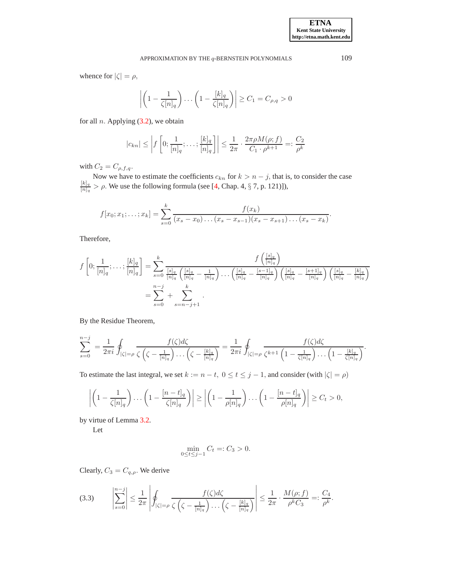whence for  $|\zeta| = \rho$ ,

$$
\left| \left( 1 - \frac{1}{\zeta[n]_q} \right) \dots \left( 1 - \frac{[k]_q}{\zeta[n]_q} \right) \right| \ge C_1 = C_{\rho,q} > 0
$$

for all  $n$ . Applying  $(3.2)$ , we obtain

$$
|c_{kn}| \le \left| f\left[0; \frac{1}{[n]_q}; \ldots; \frac{[k]_q}{[n]_q}\right] \right| \le \frac{1}{2\pi} \cdot \frac{2\pi\rho M(\rho; f)}{C_1 \cdot \rho^{k+1}} =: \frac{C_2}{\rho^k}
$$

with  $C_2 = C_{\rho,f,q}$ .

Now we have to estimate the coefficients  $c_{kn}$  for  $k > n - j$ , that is, to consider the case  $[k]_q$  $\frac{K|q}{[n]_q} > \rho$ . We use the following formula (see [\[4,](#page-6-13) Chap. 4, § 7, p. 121)]),

$$
f[x_0; x_1; \ldots; x_k] = \sum_{s=0}^k \frac{f(x_k)}{(x_s - x_0) \ldots (x_s - x_{s-1})(x_s - x_{s+1}) \ldots (x_s - x_k)}.
$$

Therefore,

$$
f\left[0; \frac{1}{[n]_q}; \ldots; \frac{[k]_q}{[n]_q}\right] = \sum_{s=0}^k \frac{f\left(\frac{[s]_q}{[n]_q}\right)}{\frac{[s]_q}{[n]_q}\left(\frac{[s]_q}{[n]_q} - \frac{1}{[n]_q}\right) \ldots \left(\frac{[s]_q}{[n]_q} - \frac{[s-1]_q}{[n]_q}\right) \left(\frac{[s]_q}{[n]_q} - \frac{[s+1]_q}{[n]_q}\right) \left(\frac{[s]_q}{[n]_q} - \frac{[k]_q}{[n]_q}\right)}
$$

$$
= \sum_{s=0}^{n-j} + \sum_{s=n-j+1}^k.
$$

By the Residue Theorem,

$$
\sum_{s=0}^{n-j} = \frac{1}{2\pi i} \oint_{|\zeta|=\rho} \frac{f(\zeta)d\zeta}{\zeta(\zeta-\frac{1}{[n]_q})\dots(\zeta-\frac{[k]_q}{[n]_q})} = \frac{1}{2\pi i} \oint_{|\zeta|=\rho} \frac{f(\zeta)d\zeta}{\zeta^{k+1}(1-\frac{1}{\zeta[n]_q})\dots(1-\frac{[k]_q}{\zeta[n]_q})}.
$$

To estimate the last integral, we set  $k := n - t$ ,  $0 \le t \le j - 1$ , and consider (with  $|\zeta| = \rho$ )

$$
\left| \left(1 - \frac{1}{\zeta[n]_q}\right) \dots \left(1 - \frac{[n-t]_q}{\zeta[n]_q}\right) \right| \ge \left| \left(1 - \frac{1}{\rho[n]_q}\right) \dots \left(1 - \frac{[n-t]_q}{\rho[n]_q}\right) \right| \ge C_t > 0,
$$

by virtue of Lemma [3.2.](#page-3-1)

Let

$$
\min_{0 \le t \le j-1} C_t =: C_3 > 0.
$$

<span id="page-4-0"></span>Clearly,  $C_3 = C_{q,\rho}$ . We derive

$$
(3.3) \qquad \left|\sum_{s=0}^{n-j}\right| \leq \frac{1}{2\pi}\left|\oint_{|\zeta|=\rho} \frac{f(\zeta)d\zeta}{\zeta\left(\zeta-\frac{1}{[n]_q}\right)\dots\left(\zeta-\frac{[k]_q}{[n]_q}\right)}\right| \leq \frac{1}{2\pi}\cdot\frac{M(\rho;f)}{\rho^kC_3} =: \frac{C_4}{\rho^k}.
$$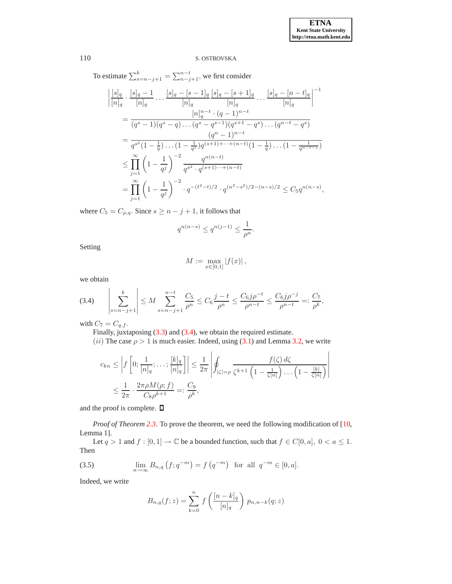$\overline{\phantom{a}}$  $\overline{\phantom{a}}$  $\overline{\phantom{a}}$ I  $\overline{\phantom{a}}$  $\begin{array}{c} \hline \end{array}$ 

# 110 S. OSTROVSKA

To estimate  $\sum_{s=n-j+1}^{k} = \sum_{n-j+1}^{n-t}$ , we first consider

$$
\frac{[s]_q}{[n]_q} \cdot \frac{[s]_q - 1}{[n]_q} \dots \frac{[s]_q - [s-1]_q}{[n]_q} \frac{[s]_q - [s+1]_q}{[n]_q} \dots \frac{[s]_q - [n-t]_q}{[n]_q} \Big|^{-1}
$$
\n
$$
= \frac{[n]_q^{n-t} \cdot (q-1)^{n-t}}{(q^s - 1)(q^s - q) \dots (q^s - q^{s-1})(q^{s+1} - q^s) \dots (q^{n-t} - q^s)}
$$
\n
$$
= \frac{q^{s^2} (1 - \frac{1}{q}) \dots (1 - \frac{1}{q^s}) q^{(s+1)+\dots+(n-t)} (1 - \frac{1}{q}) \dots (1 - \frac{1}{q^{n-t-s}})}
$$
\n
$$
\leq \prod_{j=1}^{\infty} \left(1 - \frac{1}{q^j}\right)^{-2} \frac{q^{n(n-t)}}{q^{s^2} \cdot q^{(s+1)\dots+(n-t)}}
$$
\n
$$
= \prod_{j=1}^{\infty} \left(1 - \frac{1}{q^j}\right)^{-2} \cdot q^{-(t^2-t)/2} \cdot q^{(n^2-s^2)/2 - (n-s)/2} \leq C_5 q^{n(n-s)},
$$

where  $C_5 = C_{\rho,q}$ . Since  $s \geq n-j+1$ , it follows that

$$
q^{n(n-s)} \leq q^{n(j-1)} \leq \frac{1}{\rho^n}
$$

.

Setting

$$
M := \max_{x \in [0,1]} |f(x)|,
$$

<span id="page-5-0"></span>we obtain

$$
(3.4) \qquad \left| \sum_{s=n-j+1}^{k} \right| \leq M \sum_{s=n-j+1}^{n-t} \frac{C_5}{\rho^n} \leq C_6 \frac{j-t}{\rho^n} \leq \frac{C_6 j \rho^{-t}}{\rho^{n-t}} \leq \frac{C_6 j \rho^{-j}}{\rho^{n-t}} =: \frac{C_7}{\rho^k},
$$

with  $C_7 = C_{q,f}$ .

Finally, juxtaposing [\(3.3\)](#page-4-0) and [\(3.4\)](#page-5-0), we obtain the required estimate.

(ii) The case  $\rho > 1$  is much easier. Indeed, using [\(3.1\)](#page-3-0) and Lemma [3.2,](#page-3-1) we write l,

$$
c_{kn} \leq \left| f\left[0; \frac{1}{[n]_q}; \dots; \frac{[k]_q}{[n]_q}\right] \right| \leq \frac{1}{2\pi} \left| \oint_{|\zeta| = \rho} \frac{f(\zeta) d\zeta}{\zeta^{k+1} \left(1 - \frac{1}{\zeta[n]}\right) \dots \left(1 - \frac{[k]}{\zeta[n]}\right)} \right|
$$
  

$$
\leq \frac{1}{2\pi} \cdot \frac{2\pi \rho M(\rho; f)}{C_8 \rho^{k+1}} =: \frac{C_9}{\rho^k},
$$

and the proof is complete.  $\square$ 

*Proof of Theorem* [2.3](#page-2-0). To prove the theorem, we need the following modification of [\[10,](#page-6-7) Lemma 1].

<span id="page-5-1"></span>Let  $q > 1$  and  $f : [0, 1] \to \mathbb{C}$  be a bounded function, such that  $f \in C[0, a]$ ,  $0 < a \leq 1$ . Then

(3.5) 
$$
\lim_{n \to \infty} B_{n,q}(f; q^{-m}) = f(q^{-m}) \text{ for all } q^{-m} \in [0, a].
$$

Indeed, we write

$$
B_{n,q}(f;z) = \sum_{k=0}^{n} f\left(\frac{[n-k]_q}{[n]_q}\right) p_{n,n-k}(q;z)
$$

 $\overline{\phantom{a}}$  $\overline{\phantom{a}}$  $\overline{\phantom{a}}$  $\mid$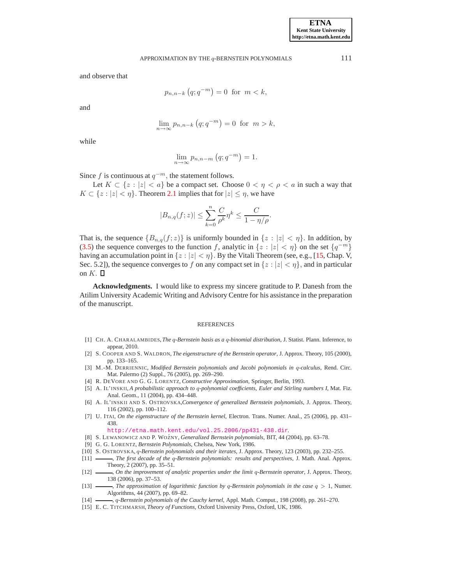and observe that

$$
p_{n,n-k}\left(q;q^{-m}\right) = 0 \text{ for } m < k,
$$

and

$$
\lim_{n \to \infty} p_{n,n-k} (q; q^{-m}) = 0 \text{ for } m > k,
$$

while

$$
\lim_{n \to \infty} p_{n,n-m} (q; q^{-m}) = 1.
$$

Since f is continuous at  $q^{-m}$ , the statement follows.

Let  $K \subset \{z : |z| < a\}$  be a compact set. Choose  $0 < \eta < \rho < a$  in such a way that  $K \subset \{z : |z| < \eta\}$ . Theorem [2.1](#page-1-1) implies that for  $|z| \leq \eta$ , we have

$$
|B_{n,q}(f;z)| \leq \sum_{k=0}^{n} \frac{C}{\rho^k} \eta^k \leq \frac{C}{1 - \eta/\rho}.
$$

That is, the sequence  ${B_{n,q}(f;z)}$  is uniformly bounded in  $\{z : |z| < \eta\}$ . In addition, by [\(3.5\)](#page-5-1) the sequence converges to the function f, analytic in  $\{z : |z| < \eta\}$  on the set  $\{q^{-m}\}$ having an accumulation point in  $\{z : |z| < \eta\}$ . By the Vitali Theorem (see, e.g., [\[15,](#page-6-14) Chap. V, Sec. 5.2]), the sequence converges to f on any compact set in  $\{z : |z| < \eta\}$ , and in particular on  $K$ .  $\Box$ 

**Acknowledgments.** I would like to express my sincere gratitude to P. Danesh from the Atilim University Academic Writing and Advisory Centre for his assistance in the preparation of the manuscript.

### REFERENCES

- <span id="page-6-3"></span>[1] CH. A. CHARALAMBIDES, *The* q*-Bernstein basis as a* q*-binomial distribution*, J. Statist. Plann. Inference, to appear, 2010.
- <span id="page-6-10"></span><span id="page-6-2"></span>[2] S. COOPER AND S. WALDRON, *The eigenstructure of the Bernstein operator*, J. Approx. Theory, 105 (2000), pp. 133–165.
- [3] M.-M. DERRIENNIC, *Modified Bernstein polynomials and Jacobi polynomials in* q*-calculus*, Rend. Circ. Mat. Palermo (2) Suppl., 76 (2005), pp. 269–290.
- <span id="page-6-13"></span><span id="page-6-4"></span>[4] R. DEVORE AND G. G. LORENTZ, *Constructive Approximation*, Springer, Berlin, 1993.
- [5] A. IL'INSKII, *A probabilistic approach to* q*-polynomial coefficients, Euler and Stirling numbers I*, Mat. Fiz. Anal. Geom., 11 (2004), pp. 434–448.
- <span id="page-6-5"></span>[6] A. IL'INSKII AND S. OSTROVSKA,*Convergence of generalized Bernstein polynomials*, J. Approx. Theory, 116 (2002), pp. 100–112.
- <span id="page-6-11"></span>[7] U. ITAI, *On the eigenstructure of the Bernstein kernel*, Electron. Trans. Numer. Anal., 25 (2006), pp. 431– 438.

<http://etna.math.kent.edu/vol.25.2006/pp431-438.dir>.

- [8] S. LEWANOWICZ AND P. WOZNY ´ , *Generalized Bernstein polynomials*, BIT, 44 (2004), pp. 63–78.
- <span id="page-6-12"></span><span id="page-6-1"></span>[9] G. G. LORENTZ, *Bernstein Polynomials*, Chelsea, New York, 1986.
- <span id="page-6-7"></span><span id="page-6-0"></span>[10] S. OSTROVSKA, q*-Bernstein polynomials and their iterates*, J. Approx. Theory, 123 (2003), pp. 232–255.
- [11] , *The first decade of the* q*-Bernstein polynomials: results and perspectives*, J. Math. Anal. Approx. Theory, 2 (2007), pp. 35–51.
- <span id="page-6-6"></span>[12] , *On the improvement of analytic properties under the limit* q*-Bernstein operator*, J. Approx. Theory, 138 (2006), pp. 37–53.
- <span id="page-6-8"></span>[13] , *The approximation of logarithmic function by* q*-Bernstein polynomials in the case* q > 1, Numer. Algorithms, 44 (2007), pp. 69–82.
- <span id="page-6-14"></span><span id="page-6-9"></span>[14] , q*-Bernstein polynomials of the Cauchy kernel*, Appl. Math. Comput., 198 (2008), pp. 261–270.
- [15] E. C. TITCHMARSH, *Theory of Functions*, Oxford University Press, Oxford, UK, 1986.